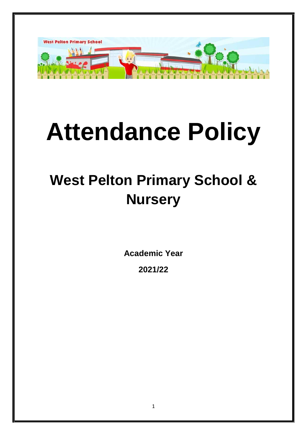

# **Attendance Policy**

# **West Pelton Primary School & Nursery**

**Academic Year** 

**2021/22**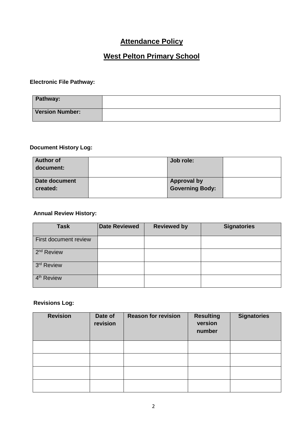# **Attendance Policy**

# **West Pelton Primary School**

#### **Electronic File Pathway:**

| Pathway:               |  |
|------------------------|--|
| <b>Version Number:</b> |  |

#### **Document History Log:**

| <b>Author of</b> | Job role:          |  |
|------------------|--------------------|--|
| document:        |                    |  |
|                  |                    |  |
| Date document    | <b>Approval by</b> |  |
| created:         | Governing Body:    |  |
|                  |                    |  |

#### **Annual Review History:**

| <b>Task</b>            | <b>Date Reviewed</b> | <b>Reviewed by</b> | <b>Signatories</b> |
|------------------------|----------------------|--------------------|--------------------|
| First document review  |                      |                    |                    |
| 2 <sup>nd</sup> Review |                      |                    |                    |
| 3rd Review             |                      |                    |                    |
| 4 <sup>th</sup> Review |                      |                    |                    |

#### **Revisions Log:**

| <b>Revision</b> | Date of<br>revision | <b>Reason for revision</b> | <b>Resulting</b><br>version<br>number | <b>Signatories</b> |
|-----------------|---------------------|----------------------------|---------------------------------------|--------------------|
|                 |                     |                            |                                       |                    |
|                 |                     |                            |                                       |                    |
|                 |                     |                            |                                       |                    |
|                 |                     |                            |                                       |                    |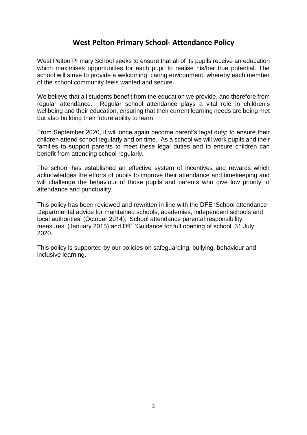# **West Pelton Primary School- Attendance Policy**

West Pelton Primary School seeks to ensure that all of its pupils receive an education which maximises opportunities for each pupil to realise his/her true potential. The school will strive to provide a welcoming, caring environment, whereby each member of the school community feels wanted and secure.

We believe that all students benefit from the education we provide, and therefore from regular attendance. Regular school attendance plays a vital role in children's wellbeing and their education, ensuring that their current learning needs are being met but also building their future ability to learn.

From September 2020, it will once again become parent's legal duty; to ensure their children attend school regularly and on time. As a school we will work pupils and their families to support parents to meet these legal duties and to ensure children can benefit from attending school regularly.

The school has established an effective system of incentives and rewards which acknowledges the efforts of pupils to improve their attendance and timekeeping and will challenge the behaviour of those pupils and parents who give low priority to attendance and punctuality.

This policy has been reviewed and rewritten in line with the DFE 'School attendance Departmental advice for maintained schools, academies, independent schools and local authorities' (October 2014), 'School attendance parental responsibility measures' (January 2015) and DfE 'Guidance for full opening of school' 31 July 2020.

This policy is supported by our policies on safeguarding, bullying, behaviour and inclusive learning.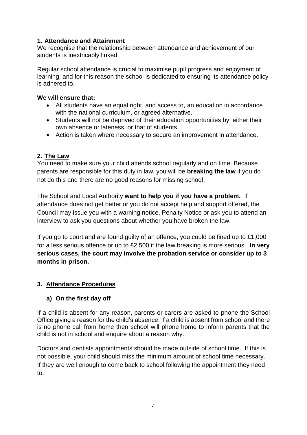#### **1. Attendance and Attainment**

We recognise that the relationship between attendance and achievement of our students is inextricably linked.

Regular school attendance is crucial to maximise pupil progress and enjoyment of learning, and for this reason the school is dedicated to ensuring its attendance policy is adhered to.

#### **We will ensure that:**

- All students have an equal right, and access to, an education in accordance with the national curriculum, or agreed alternative.
- Students will not be deprived of their education opportunities by, either their own absence or lateness, or that of students.
- Action is taken where necessary to secure an improvement in attendance.

#### **2. The Law**

You need to make sure your child attends school regularly and on time. Because parents are responsible for this duty in law, you will be **breaking the law** if you do not do this and there are no good reasons for missing school.

The School and Local Authority **want to help you if you have a problem.** If attendance does not get better or you do not accept help and support offered, the Council may issue you with a warning notice, Penalty Notice or ask you to attend an interview to ask you questions about whether you have broken the law.

If you go to court and are found guilty of an offence, you could be fined up to £1,000 for a less serious offence or up to £2,500 if the law breaking is more serious. **In very serious cases, the court may involve the probation service or consider up to 3 months in prison.**

#### **3. Attendance Procedures**

#### **a) On the first day off**

If a child is absent for any reason, parents or carers are asked to phone the School Office giving a reason for the child's absence. If a child is absent from school and there is no phone call from home then school will phone home to inform parents that the child is not in school and enquire about a reason why.

Doctors and dentists appointments should be made outside of school time. If this is not possible, your child should miss the minimum amount of school time necessary. If they are well enough to come back to school following the appointment they need to.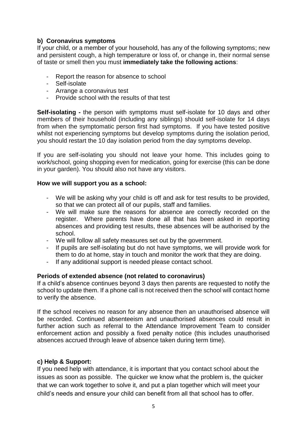#### **b) Coronavirus symptoms**

If your child, or a member of your household, has any of the following symptoms; new and persistent cough, a high temperature or loss of, or change in, their normal sense of taste or smell then you must **immediately take the following actions**:

- Report the reason for absence to school
- Self-isolate
- Arrange a coronavirus test
- Provide school with the results of that test

**Self-isolating -** the person with symptoms must self-isolate for 10 days and other members of their household (including any siblings) should self-isolate for 14 days from when the symptomatic person first had symptoms. If you have tested positive whilst not experiencing symptoms but develop symptoms during the isolation period, you should restart the 10 day isolation period from the day symptoms develop.

If you are self-isolating you should not leave your home. This includes going to work/school, going shopping even for medication, going for exercise (this can be done in your garden). You should also not have any visitors.

#### **How we will support you as a school:**

- We will be asking why your child is off and ask for test results to be provided, so that we can protect all of our pupils, staff and families.
- We will make sure the reasons for absence are correctly recorded on the register. Where parents have done all that has been asked in reporting absences and providing test results, these absences will be authorised by the school.
- We will follow all safety measures set out by the government.
- If pupils are self-isolating but do not have symptoms, we will provide work for them to do at home, stay in touch and monitor the work that they are doing.
- If any additional support is needed please contact school.

#### **Periods of extended absence (not related to coronavirus)**

If a child's absence continues beyond 3 days then parents are requested to notify the school to update them. If a phone call is not received then the school will contact home to verify the absence.

If the school receives no reason for any absence then an unauthorised absence will be recorded. Continued absenteeism and unauthorised absences could result in further action such as referral to the Attendance Improvement Team to consider enforcement action and possibly a fixed penalty notice (this includes unauthorised absences accrued through leave of absence taken during term time).

#### **c) Help & Support:**

If you need help with attendance, it is important that you contact school about the issues as soon as possible. The quicker we know what the problem is, the quicker that we can work together to solve it, and put a plan together which will meet your child's needs and ensure your child can benefit from all that school has to offer.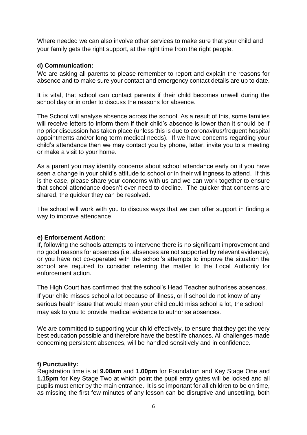Where needed we can also involve other services to make sure that your child and your family gets the right support, at the right time from the right people.

#### **d) Communication:**

We are asking all parents to please remember to report and explain the reasons for absence and to make sure your contact and emergency contact details are up to date.

It is vital, that school can contact parents if their child becomes unwell during the school day or in order to discuss the reasons for absence.

The School will analyse absence across the school. As a result of this, some families will receive letters to inform them if their child's absence is lower than it should be if no prior discussion has taken place (unless this is due to coronavirus/frequent hospital appointments and/or long term medical needs). If we have concerns regarding your child's attendance then we may contact you by phone, letter, invite you to a meeting or make a visit to your home.

As a parent you may identify concerns about school attendance early on if you have seen a change in your child's attitude to school or in their willingness to attend. If this is the case, please share your concerns with us and we can work together to ensure that school attendance doesn't ever need to decline. The quicker that concerns are shared, the quicker they can be resolved.

The school will work with you to discuss ways that we can offer support in finding a way to improve attendance.

#### **e) Enforcement Action:**

If, following the schools attempts to intervene there is no significant improvement and no good reasons for absences (i.e. absences are not supported by relevant evidence), or you have not co-operated with the school's attempts to improve the situation the school are required to consider referring the matter to the Local Authority for enforcement action.

The High Court has confirmed that the school's Head Teacher authorises absences. If your child misses school a lot because of illness, or if school do not know of any serious health issue that would mean your child could miss school a lot, the school may ask to you to provide medical evidence to authorise absences.

We are committed to supporting your child effectively, to ensure that they get the very best education possible and therefore have the best life chances. All challenges made concerning persistent absences, will be handled sensitively and in confidence.

#### **f) Punctuality:**

Registration time is at **9.00am** and **1.00pm** for Foundation and Key Stage One and **1.15pm** for Key Stage Two at which point the pupil entry gates will be locked and all pupils must enter by the main entrance. It is so important for all children to be on time, as missing the first few minutes of any lesson can be disruptive and unsettling, both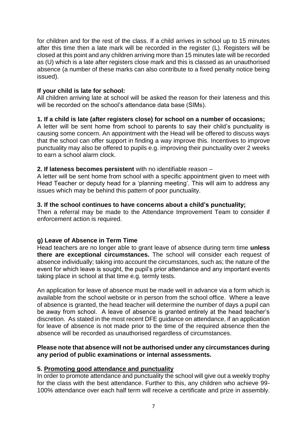for children and for the rest of the class. If a child arrives in school up to 15 minutes after this time then a late mark will be recorded in the register (L). Registers will be closed at this point and any children arriving more than 15 minutes late will be recorded as (U) which is a late after registers close mark and this is classed as an unauthorised absence (a number of these marks can also contribute to a fixed penalty notice being issued).

#### **If your child is late for school:**

All children arriving late at school will be asked the reason for their lateness and this will be recorded on the school's attendance data base (SIMs).

#### **1. If a child is late (after registers close) for school on a number of occasions;**

A letter will be sent home from school to parents to say their child's punctuality is causing some concern. An appointment with the Head will be offered to discuss ways that the school can offer support in finding a way improve this. Incentives to improve punctuality may also be offered to pupils e.g. improving their punctuality over 2 weeks to earn a school alarm clock.

#### **2. If lateness becomes persistent** with no identifiable reason –

A letter will be sent home from school with a specific appointment given to meet with Head Teacher or deputy head for a 'planning meeting'. This will aim to address any issues which may be behind this pattern of poor punctuality.

#### **3. If the school continues to have concerns about a child's punctuality;**

Then a referral may be made to the Attendance Improvement Team to consider if enforcement action is required.

#### **g) Leave of Absence in Term Time**

Head teachers are no longer able to grant leave of absence during term time **unless there are exceptional circumstances.** The school will consider each request of absence individually; taking into account the circumstances, such as; the nature of the event for which leave is sought, the pupil's prior attendance and any important events taking place in school at that time e.g. termly tests.

An application for leave of absence must be made well in advance via a form which is available from the school website or in person from the school office. Where a leave of absence is granted, the head teacher will determine the number of days a pupil can be away from school. A leave of absence is granted entirely at the head teacher's discretion. As stated in the most recent DFE guidance on attendance, if an application for leave of absence is not made prior to the time of the required absence then the absence will be recorded as unauthorised regardless of circumstances.

#### **Please note that absence will not be authorised under any circumstances during any period of public examinations or internal assessments.**

#### **5. Promoting good attendance and punctuality**

In order to promote attendance and punctuality the school will give out a weekly trophy for the class with the best attendance. Further to this, any children who achieve 99- 100% attendance over each half term will receive a certificate and prize in assembly.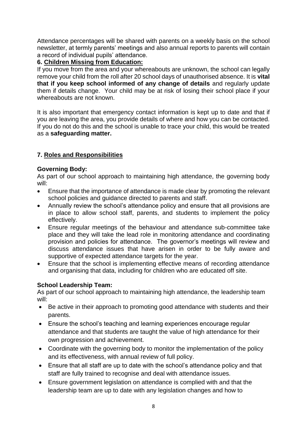Attendance percentages will be shared with parents on a weekly basis on the school newsletter, at termly parents' meetings and also annual reports to parents will contain a record of individual pupils' attendance.

#### **6. Children Missing from Education:**

If you move from the area and your whereabouts are unknown, the school can legally remove your child from the roll after 20 school days of unauthorised absence. It is **vital that if you keep school informed of any change of details** and regularly update them if details change. Your child may be at risk of losing their school place if your whereabouts are not known.

It is also important that emergency contact information is kept up to date and that if you are leaving the area, you provide details of where and how you can be contacted. If you do not do this and the school is unable to trace your child, this would be treated as a **safeguarding matter.**

### **7. Roles and Responsibilities**

#### **Governing Body:**

As part of our school approach to maintaining high attendance, the governing body will:

- Ensure that the importance of attendance is made clear by promoting the relevant school policies and guidance directed to parents and staff.
- Annually review the school's attendance policy and ensure that all provisions are in place to allow school staff, parents, and students to implement the policy effectively.
- Ensure regular meetings of the behaviour and attendance sub-committee take place and they will take the lead role in monitoring attendance and coordinating provision and policies for attendance. The governor's meetings will review and discuss attendance issues that have arisen in order to be fully aware and supportive of expected attendance targets for the year.
- Ensure that the school is implementing effective means of recording attendance and organising that data, including for children who are educated off site.

#### **School Leadership Team:**

As part of our school approach to maintaining high attendance, the leadership team will:

- Be active in their approach to promoting good attendance with students and their parents.
- Ensure the school's teaching and learning experiences encourage regular attendance and that students are taught the value of high attendance for their own progression and achievement.
- Coordinate with the governing body to monitor the implementation of the policy and its effectiveness, with annual review of full policy.
- Ensure that all staff are up to date with the school's attendance policy and that staff are fully trained to recognise and deal with attendance issues.
- Ensure government legislation on attendance is complied with and that the leadership team are up to date with any legislation changes and how to